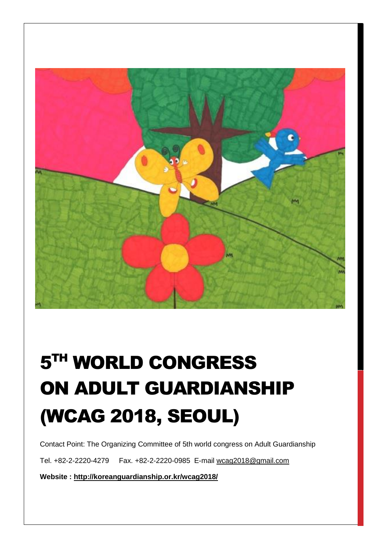

# 5 TH WORLD CONGRESS ON ADULT GUARDIANSHIP (WCAG 2018, SEOUL)

Contact Point: The Organizing Committee of 5th world congress on Adult Guardianship

Tel. +82-2-2220-4279 Fax. +82-2-2220-0985 E-mail [wcag2018@gmail.com](mailto:wcag2018@gmail.com)

**Website :<http://koreanguardianship.or.kr/wcag2018/>**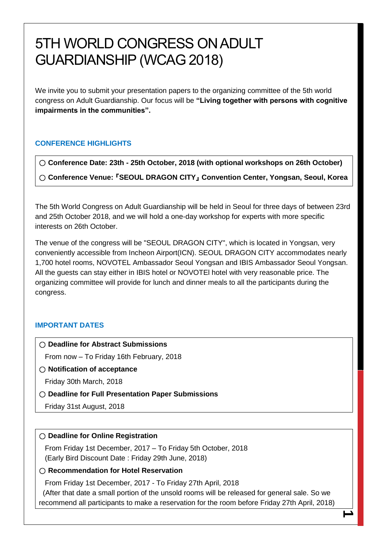# 5TH WORLD CONGRESS ON ADULT GUARDIANSHIP (WCAG 2018)

We invite you to submit your presentation papers to the organizing committee of the 5th world congress on Adult Guardianship. Our focus will be **"Living together with persons with cognitive impairments in the communities".**

# **CONFERENCE HIGHLIGHTS**

○ **Conference Date: 23th - 25th October, 2018 (with optional workshops on 26th October)**

○ **Conference Venue:** 『**SEOUL DRAGON CITY**』 **Convention Center, Yongsan, Seoul, Korea**

The 5th World Congress on Adult Guardianship will be held in Seoul for three days of between 23rd and 25th October 2018, and we will hold a one-day workshop for experts with more specific interests on 26th October.

The venue of the congress will be "SEOUL DRAGON CITY", which is located in Yongsan, very conveniently accessible from Incheon Airport(ICN). SEOUL DRAGON CITY accommodates nearly 1,700 hotel rooms, NOVOTEL Ambassador Seoul Yongsan and IBIS Ambassador Seoul Yongsan. All the guests can stay either in IBIS hotel or NOVOTEl hotel with very reasonable price. The organizing committee will provide for lunch and dinner meals to all the participants during the congress.

# **IMPORTANT DATES**

○ **Deadline for Abstract Submissions** 

From now – To Friday 16th February, 2018

○ **Notification of acceptance** 

Friday 30th March, 2018

○ **Deadline for Full Presentation Paper Submissions** 

Friday 31st August, 2018

# ○ **Deadline for Online Registration**

 From Friday 1st December, 2017 – To Friday 5th October, 2018 (Early Bird Discount Date : Friday 29th June, 2018)

# ○ **Recommendation for Hotel Reservation**

 From Friday 1st December, 2017 - To Friday 27th April, 2018 (After that date a small portion of the unsold rooms will be released for general sale. So we recommend all participants to make a reservation for the room before Friday 27th April, 2018)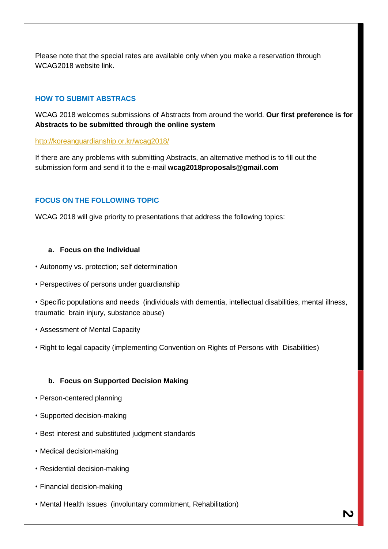Please note that the special rates are available only when you make a reservation through WCAG2018 website link.

# **HOW TO SUBMIT ABSTRACS**

WCAG 2018 welcomes submissions of Abstracts from around the world. **Our first preference is for Abstracts to be submitted through the online system**

#### <http://koreanguardianship.or.kr/wcag2018/>

If there are any problems with submitting Abstracts, an alternative method is to fill out the submission form and send it to the e-mail **wcag2018proposals@gmail.com**

# **FOCUS ON THE FOLLOWING TOPIC**

WCAG 2018 will give priority to presentations that address the following topics:

#### **a. Focus on the Individual**

- Autonomy vs. protection; self determination
- Perspectives of persons under guardianship

• Specific populations and needs (individuals with dementia, intellectual disabilities, mental illness, traumatic brain injury, substance abuse)

- Assessment of Mental Capacity
- Right to legal capacity (implementing Convention on Rights of Persons with Disabilities)

# **b. Focus on Supported Decision Making**

- Person-centered planning
- Supported decision-making
- Best interest and substituted judgment standards
- Medical decision-making
- Residential decision-making
- Financial decision-making
- Mental Health Issues (involuntary commitment, Rehabilitation)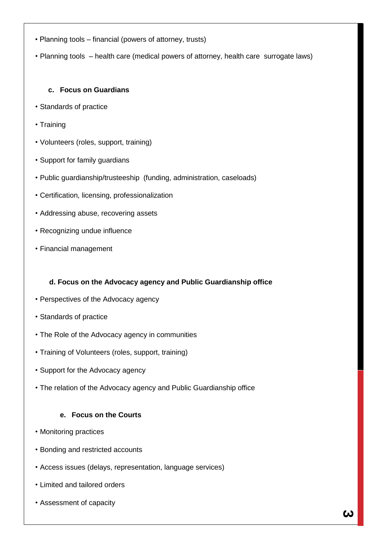- Planning tools financial (powers of attorney, trusts)
- Planning tools health care (medical powers of attorney, health care surrogate laws)

### **c. Focus on Guardians**

- Standards of practice
- Training
- Volunteers (roles, support, training)
- Support for family guardians
- Public guardianship/trusteeship (funding, administration, caseloads)
- Certification, licensing, professionalization
- Addressing abuse, recovering assets
- Recognizing undue influence
- Financial management

# **d. Focus on the Advocacy agency and Public Guardianship office**

- Perspectives of the Advocacy agency
- Standards of practice
- The Role of the Advocacy agency in communities
- Training of Volunteers (roles, support, training)
- Support for the Advocacy agency
- The relation of the Advocacy agency and Public Guardianship office

#### **e. Focus on the Courts**

- Monitoring practices
- Bonding and restricted accounts
- Access issues (delays, representation, language services)
- Limited and tailored orders
- Assessment of capacity